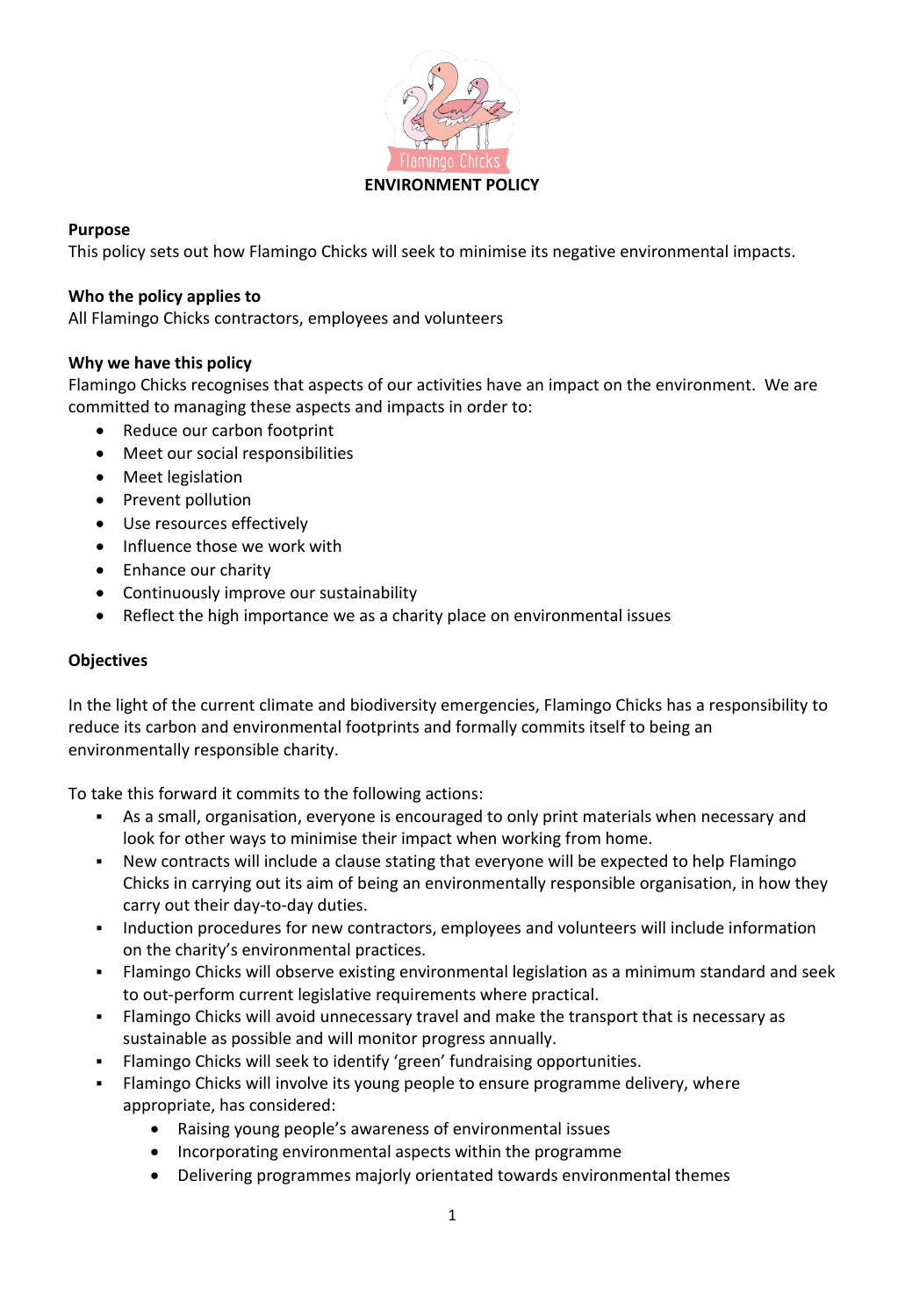

# **Purpose**

This policy sets out how Flamingo Chicks will seek to minimise its negative environmental impacts.

### **Who the policy applies to**

All Flamingo Chicks contractors, employees and volunteers

# **Why we have this policy**

Flamingo Chicks recognises that aspects of our activities have an impact on the environment. We are committed to managing these aspects and impacts in order to:

- Reduce our carbon footprint
- Meet our social responsibilities
- Meet legislation
- Prevent pollution
- Use resources effectively
- Influence those we work with
- Enhance our charity
- Continuously improve our sustainability
- Reflect the high importance we as a charity place on environmental issues

#### **Objectives**

In the light of the current climate and biodiversity emergencies, Flamingo Chicks has a responsibility to reduce its carbon and environmental footprints and formally commits itself to being an environmentally responsible charity.

To take this forward it commits to the following actions:

- As a small, organisation, everyone is encouraged to only print materials when necessary and look for other ways to minimise their impact when working from home.
- New contracts will include a clause stating that everyone will be expected to help Flamingo Chicks in carrying out its aim of being an environmentally responsible organisation, in how they carry out their day-to-day duties.
- Induction procedures for new contractors, employees and volunteers will include information on the charity's environmental practices.
- Flamingo Chicks will observe existing environmental legislation as a minimum standard and seek to out-perform current legislative requirements where practical.
- Flamingo Chicks will avoid unnecessary travel and make the transport that is necessary as sustainable as possible and will monitor progress annually.
- Flamingo Chicks will seek to identify 'green' fundraising opportunities.
- Flamingo Chicks will involve its young people to ensure programme delivery, where appropriate, has considered:
	- Raising young people's awareness of environmental issues
	- Incorporating environmental aspects within the programme
	- Delivering programmes majorly orientated towards environmental themes